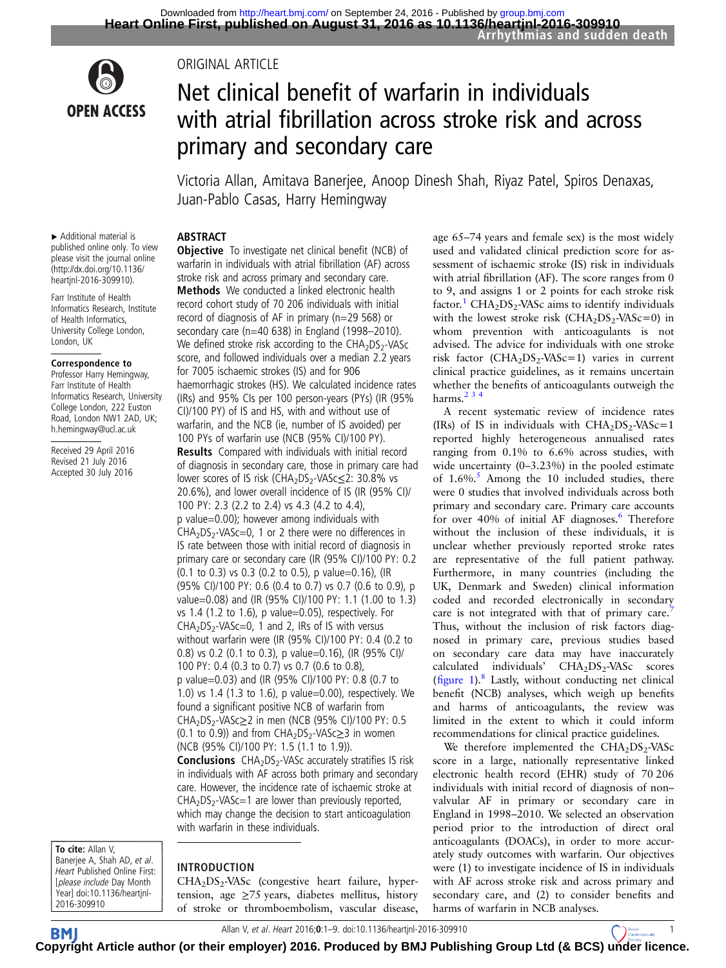

# ORIGINAL ARTICLE

# Net clinical benefit of warfarin in individuals with atrial fibrillation across stroke risk and across primary and secondary care

Victoria Allan, Amitava Banerjee, Anoop Dinesh Shah, Riyaz Patel, Spiros Denaxas, Juan-Pablo Casas, Harry Hemingway

#### ABSTRACT

**Objective** To investigate net clinical benefit (NCB) of warfarin in individuals with atrial fibrillation (AF) across stroke risk and across primary and secondary care. Methods We conducted a linked electronic health record cohort study of 70 206 individuals with initial record of diagnosis of AF in primary (n=29 568) or secondary care (n=40 638) in England (1998–2010). We defined stroke risk according to the  $CHA<sub>2</sub>DS<sub>2</sub>$ -VASc score, and followed individuals over a median 2.2 years

haemorrhagic strokes (HS). We calculated incidence rates (IRs) and 95% CIs per 100 person-years (PYs) (IR (95% CI)/100 PY) of IS and HS, with and without use of warfarin, and the NCB (ie, number of IS avoided) per 100 PYs of warfarin use (NCB (95% CI)/100 PY). Results Compared with individuals with initial record of diagnosis in secondary care, those in primary care had lower scores of IS risk (CHA<sub>2</sub>DS<sub>2</sub>-VASc≤2: 30.8% vs 20.6%), and lower overall incidence of IS (IR (95% CI)/

for 7005 ischaemic strokes (IS) and for 906

100 PY: 2.3 (2.2 to 2.4) vs 4.3 (4.2 to 4.4), p value=0.00); however among individuals with  $CHA<sub>2</sub>DS<sub>2</sub> - VASC = 0$ , 1 or 2 there were no differences in IS rate between those with initial record of diagnosis in primary care or secondary care (IR (95% CI)/100 PY: 0.2 (0.1 to 0.3) vs 0.3 (0.2 to 0.5), p value=0.16), (IR (95% CI)/100 PY: 0.6 (0.4 to 0.7) vs 0.7 (0.6 to 0.9), p value=0.08) and (IR (95% CI)/100 PY: 1.1 (1.00 to 1.3) vs 1.4 (1.2 to 1.6), p value=0.05), respectively. For  $CHA<sub>2</sub>DS<sub>2</sub>-VASc=0, 1$  and 2, IRs of IS with versus without warfarin were (IR (95% CI)/100 PY: 0.4 (0.2 to 0.8) vs 0.2 (0.1 to 0.3), p value=0.16), (IR (95% CI)/ 100 PY: 0.4 (0.3 to 0.7) vs 0.7 (0.6 to 0.8), p value=0.03) and (IR (95% CI)/100 PY: 0.8 (0.7 to 1.0) vs 1.4 (1.3 to 1.6), p value=0.00), respectively. We found a significant positive NCB of warfarin from CHA<sub>2</sub>DS<sub>2</sub>-VASc≥2 in men (NCB (95% CI)/100 PY: 0.5 (0.1 to 0.9)) and from  $CHA<sub>2</sub>DS<sub>2</sub>$ -VASc $\geq$ 3 in women

(NCB (95% CI)/100 PY: 1.5 (1.1 to 1.9)).

with warfarin in these individuals.

▸ Additional material is published online only. To view please visit the journal online [\(http://dx.doi.org/10.1136/](http://dx.doi.org/10.1136/heartjnl-2016-309910) [heartjnl-2016-309910](http://dx.doi.org/10.1136/heartjnl-2016-309910)).

Farr Institute of Health Informatics Research, Institute of Health Informatics, University College London, London, UK

#### Correspondence to

Professor Harry Hemingway, Farr Institute of Health Informatics Research, University College London, 222 Euston Road, London NW1 2AD, UK; h.hemingway@ucl.ac.uk

Received 29 April 2016 Revised 21 July 2016 Accepted 30 July 2016

To cite: Allan V. Banerjee A, Shah AD, et al. Heart Published Online First: [please include Day Month Year] doi:10.1136/heartjnl-2016-309910

# INTRODUCTION

 $CHA<sub>2</sub>DS<sub>2</sub> - VASc$  (congestive heart failure, hypertension, age ≥75 years, diabetes mellitus, history of stroke or thromboembolism, vascular disease,

**Conclusions**  $CHA<sub>2</sub>DS<sub>2</sub>$ -VASc accurately stratifies IS risk in individuals with AF across both primary and secondary care. However, the incidence rate of ischaemic stroke at  $CHA<sub>2</sub>DS<sub>2</sub>-VASc=1$  are lower than previously reported, which may change the decision to start anticoagulation

age 65–74 years and female sex) is the most widely used and validated clinical prediction score for assessment of ischaemic stroke (IS) risk in individuals with atrial fibrillation (AF). The score ranges from 0 to 9, and assigns 1 or 2 points for each stroke risk factor.<sup>[1](#page-7-0)</sup> CHA<sub>2</sub>DS<sub>2</sub>-VASc aims to identify individuals with the lowest stroke risk  $(CHA<sub>2</sub>DS<sub>2</sub>-VASC=0)$  in whom prevention with anticoagulants is not advised. The advice for individuals with one stroke risk factor (CHA<sub>2</sub>DS<sub>2</sub>-VASc=1) varies in current clinical practice guidelines, as it remains uncertain whether the benefits of anticoagulants outweigh the harms. $234$ 

A recent systematic review of incidence rates (IRs) of IS in individuals with  $CHA<sub>2</sub>DS<sub>2</sub> - VASc = 1$ reported highly heterogeneous annualised rates ranging from 0.1% to 6.6% across studies, with wide uncertainty (0–3.23%) in the pooled estimate of  $1.6\%$ .<sup>[5](#page-7-0)</sup> Among the 10 included studies, there were 0 studies that involved individuals across both primary and secondary care. Primary care accounts for over  $40\%$  of initial AF diagnoses.<sup>6</sup> Therefore without the inclusion of these individuals, it is unclear whether previously reported stroke rates are representative of the full patient pathway. Furthermore, in many countries (including the UK, Denmark and Sweden) clinical information coded and recorded electronically in secondary care is not integrated with that of primary care.<sup>[7](#page-7-0)</sup> Thus, without the inclusion of risk factors diagnosed in primary care, previous studies based on secondary care data may have inaccurately calculated individuals'  $CHA<sub>2</sub>DS<sub>2</sub>-VASc$  scores (fi[gure 1\)](#page-1-0). $8$  Lastly, without conducting net clinical benefit (NCB) analyses, which weigh up benefits and harms of anticoagulants, the review was limited in the extent to which it could inform recommendations for clinical practice guidelines.

We therefore implemented the  $CHA<sub>2</sub>DS<sub>2</sub>-VASc$ score in a large, nationally representative linked electronic health record (EHR) study of 70 206 individuals with initial record of diagnosis of non– valvular AF in primary or secondary care in England in 1998–2010. We selected an observation period prior to the introduction of direct oral anticoagulants (DOACs), in order to more accurately study outcomes with warfarin. Our objectives were (1) to investigate incidence of IS in individuals with AF across stroke risk and across primary and secondary care, and (2) to consider benefits and harms of warfarin in NCB analyses.

Allan V, et al. Heart 2016;0:1–9. doi:10.1136/heartjnl-2016-309910 1

**BM C[opyrig](http://heart.bmj.com)ht Article author (or their employer) 2016. Produced by BMJ Publishing Group Ltd (& BCS) [under lic](http://www.bcs.com)ence.**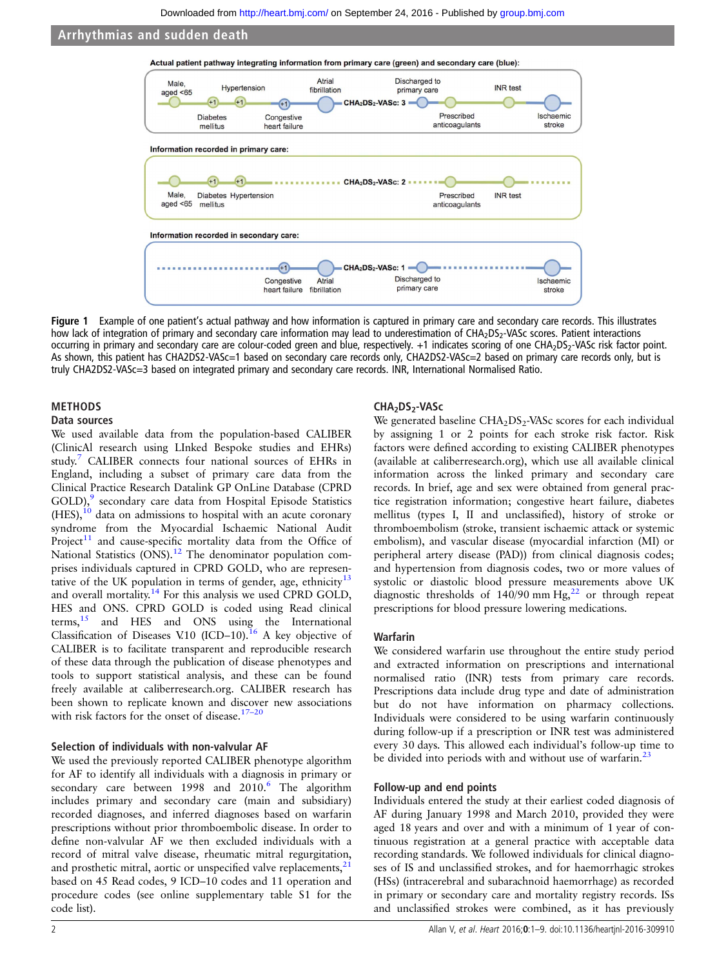<span id="page-1-0"></span>

Figure 1 Example of one patient's actual pathway and how information is captured in primary care and secondary care records. This illustrates how lack of integration of primary and secondary care information may lead to underestimation of CHA<sub>2</sub>DS<sub>2</sub>-VASc scores. Patient interactions occurring in primary and secondary care are colour-coded green and blue, respectively. +1 indicates scoring of one CHA<sub>2</sub>DS<sub>2</sub>-VASc risk factor point. As shown, this patient has CHA2DS2-VASc=1 based on secondary care records only, CHA2DS2-VASc=2 based on primary care records only, but is truly CHA2DS2-VASc=3 based on integrated primary and secondary care records. INR, International Normalised Ratio.

# METHODS

### Data sources

We used available data from the population-based CALIBER (ClinicAl research using LInked Bespoke studies and EHRs) study.[7](#page-7-0) CALIBER connects four national sources of EHRs in England, including a subset of primary care data from the Clinical Practice Research Datalink GP OnLine Database (CPRD GOLD),<sup>[9](#page-7-0)</sup> secondary care data from Hospital Episode Statistics  $(HES)$ ,<sup>[10](#page-7-0)</sup> data on admissions to hospital with an acute coronary syndrome from the Myocardial Ischaemic National Audit Project<sup>11</sup> and cause-specific mortality data from the Office of National Statistics (ONS).<sup>[12](#page-7-0)</sup> The denominator population comprises individuals captured in CPRD GOLD, who are represen-tative of the UK population in terms of gender, age, ethnicity<sup>[13](#page-7-0)</sup> and overall mortality.<sup>[14](#page-7-0)</sup> For this analysis we used CPRD GOLD, HES and ONS. CPRD GOLD is coded using Read clinical terms, $15$  and HES and ONS using the International Classification of Diseases V.10 (ICD–10).<sup>16</sup> A key objective of CALIBER is to facilitate transparent and reproducible research of these data through the publication of disease phenotypes and tools to support statistical analysis, and these can be found freely available at caliberresearch.org. CALIBER research has been shown to replicate known and discover new associations with risk factors for the onset of disease.<sup>[17](#page-7-0)-20</sup>

#### Selection of individuals with non-valvular AF

We used the previously reported CALIBER phenotype algorithm for AF to identify all individuals with a diagnosis in primary or secondary care between 1998 and 2010.<sup>[6](#page-7-0)</sup> The algorithm includes primary and secondary care (main and subsidiary) recorded diagnoses, and inferred diagnoses based on warfarin prescriptions without prior thromboembolic disease. In order to define non-valvular AF we then excluded individuals with a record of mitral valve disease, rheumatic mitral regurgitation, and prosthetic mitral, aortic or unspecified valve replacements, $21$ based on 45 Read codes, 9 ICD–10 codes and 11 operation and procedure codes (see online [supplementary table](http://dx.doi.org/10.1136/heartjnl-2016-309910) S1 for the code list).

#### CHA<sub>2</sub>DS<sub>2</sub>-VASc

We generated baseline  $CHA<sub>2</sub>DS<sub>2</sub>$ -VASc scores for each individual by assigning 1 or 2 points for each stroke risk factor. Risk factors were defined according to existing CALIBER phenotypes (available at caliberresearch.org), which use all available clinical information across the linked primary and secondary care records. In brief, age and sex were obtained from general practice registration information; congestive heart failure, diabetes mellitus (types I, II and unclassified), history of stroke or thromboembolism (stroke, transient ischaemic attack or systemic embolism), and vascular disease (myocardial infarction (MI) or peripheral artery disease (PAD)) from clinical diagnosis codes; and hypertension from diagnosis codes, two or more values of systolic or diastolic blood pressure measurements above UK diagnostic thresholds of  $140/90$  mm Hg,<sup>[22](#page-8-0)</sup> or through repeat prescriptions for blood pressure lowering medications.

#### Warfarin

We considered warfarin use throughout the entire study period and extracted information on prescriptions and international normalised ratio (INR) tests from primary care records. Prescriptions data include drug type and date of administration but do not have information on pharmacy collections. Individuals were considered to be using warfarin continuously during follow-up if a prescription or INR test was administered every 30 days. This allowed each individual's follow-up time to be divided into periods with and without use of warfarin.<sup>[23](#page-8-0)</sup>

#### Follow-up and end points

Individuals entered the study at their earliest coded diagnosis of AF during January 1998 and March 2010, provided they were aged 18 years and over and with a minimum of 1 year of continuous registration at a general practice with acceptable data recording standards. We followed individuals for clinical diagnoses of IS and unclassified strokes, and for haemorrhagic strokes (HSs) (intracerebral and subarachnoid haemorrhage) as recorded in primary or secondary care and mortality registry records. ISs and unclassified strokes were combined, as it has previously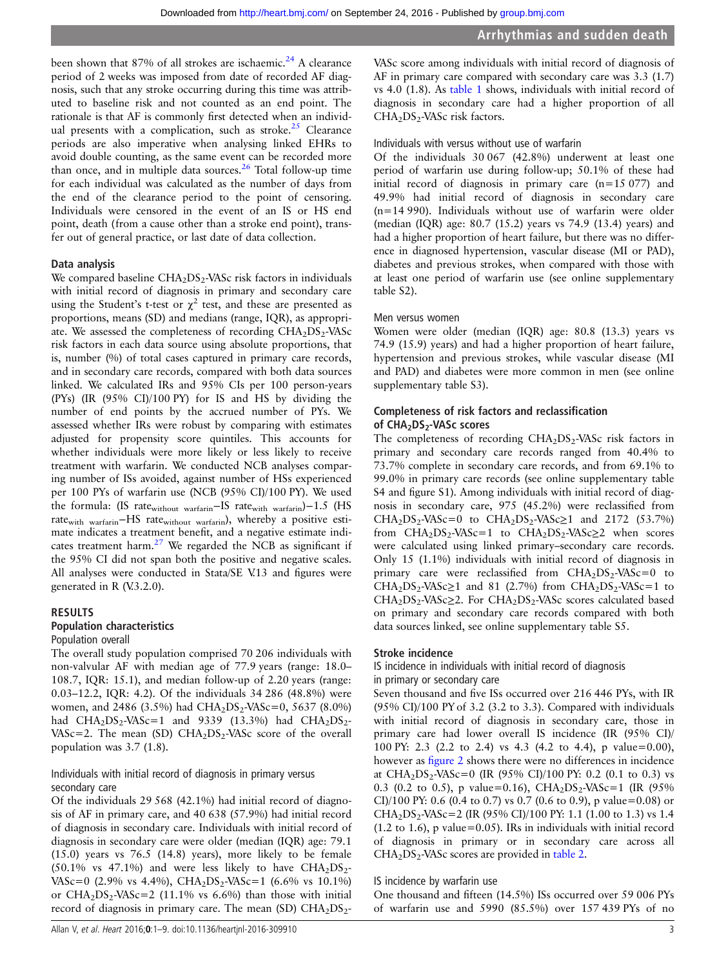been shown that  $87\%$  of all strokes are ischaemic.<sup>[24](#page-8-0)</sup> A clearance period of 2 weeks was imposed from date of recorded AF diagnosis, such that any stroke occurring during this time was attributed to baseline risk and not counted as an end point. The rationale is that AF is commonly first detected when an individual presents with a complication, such as stroke. $25$  Clearance periods are also imperative when analysing linked EHRs to avoid double counting, as the same event can be recorded more than once, and in multiple data sources. $26$  Total follow-up time for each individual was calculated as the number of days from the end of the clearance period to the point of censoring. Individuals were censored in the event of an IS or HS end point, death (from a cause other than a stroke end point), transfer out of general practice, or last date of data collection.

#### Data analysis

We compared baseline  $CHA<sub>2</sub>DS<sub>2</sub>$ -VASc risk factors in individuals with initial record of diagnosis in primary and secondary care using the Student's t-test or  $\chi^2$  test, and these are presented as proportions, means (SD) and medians (range, IQR), as appropriate. We assessed the completeness of recording  $CHA<sub>2</sub>DS<sub>2</sub>$ -VASc risk factors in each data source using absolute proportions, that is, number (%) of total cases captured in primary care records, and in secondary care records, compared with both data sources linked. We calculated IRs and 95% CIs per 100 person-years (PYs) (IR (95% CI)/100 PY) for IS and HS by dividing the number of end points by the accrued number of PYs. We assessed whether IRs were robust by comparing with estimates adjusted for propensity score quintiles. This accounts for whether individuals were more likely or less likely to receive treatment with warfarin. We conducted NCB analyses comparing number of ISs avoided, against number of HSs experienced per 100 PYs of warfarin use (NCB (95% CI)/100 PY). We used the formula: (IS ratewithout warfarin−IS ratewith warfarin)−1.5 (HS rate<sub>with warfarin</sub>−HS rate<sub>without warfarin</sub>), whereby a positive estimate indicates a treatment benefit, and a negative estimate indicates treatment harm. $27$  We regarded the NCB as significant if the 95% CI did not span both the positive and negative scales. All analyses were conducted in Stata/SE V.13 and figures were generated in R (V.3.2.0).

# RESULTS

### Population characteristics

#### Population overall

The overall study population comprised 70 206 individuals with non-valvular AF with median age of 77.9 years (range: 18.0– 108.7, IQR: 15.1), and median follow-up of 2.20 years (range: 0.03–12.2, IQR: 4.2). Of the individuals 34 286 (48.8%) were women, and 2486 (3.5%) had CHA<sub>2</sub>DS<sub>2</sub>-VASc=0, 5637 (8.0%) had  $CHA<sub>2</sub>DS<sub>2</sub>-VASc=1$  and 9339 (13.3%) had  $CHA<sub>2</sub>DS<sub>2</sub>-$ VASc=2. The mean (SD)  $CHA<sub>2</sub>DS<sub>2</sub>$ -VASc score of the overall population was 3.7 (1.8).

Individuals with initial record of diagnosis in primary versus secondary care

Of the individuals 29 568 (42.1%) had initial record of diagnosis of AF in primary care, and 40 638 (57.9%) had initial record of diagnosis in secondary care. Individuals with initial record of diagnosis in secondary care were older (median (IQR) age: 79.1 (15.0) years vs 76.5 (14.8) years), more likely to be female  $(50.1\% \text{ vs } 47.1\%)$  and were less likely to have CHA<sub>2</sub>DS<sub>2</sub>-VASc=0 (2.9% vs 4.4%), CHA<sub>2</sub>DS<sub>2</sub>-VASc=1 (6.6% vs 10.1%) or  $CHA<sub>2</sub>DS<sub>2</sub> - VASC = 2 (11.1% vs 6.6%) than those with initial$ record of diagnosis in primary care. The mean (SD)  $CHA<sub>2</sub>DS<sub>2</sub>$ -

VASc score among individuals with initial record of diagnosis of AF in primary care compared with secondary care was 3.3 (1.7) vs 4.0 (1.8). As [table 1](#page-3-0) shows, individuals with initial record of diagnosis in secondary care had a higher proportion of all  $CHA<sub>2</sub>DS<sub>2</sub>$ -VASc risk factors.

## Individuals with versus without use of warfarin

Of the individuals 30 067 (42.8%) underwent at least one period of warfarin use during follow-up; 50.1% of these had initial record of diagnosis in primary care (n=15 077) and 49.9% had initial record of diagnosis in secondary care (n=14 990). Individuals without use of warfarin were older (median (IQR) age: 80.7 (15.2) years vs 74.9 (13.4) years) and had a higher proportion of heart failure, but there was no difference in diagnosed hypertension, vascular disease (MI or PAD), diabetes and previous strokes, when compared with those with at least one period of warfarin use (see online [supplementary](http://dx.doi.org/10.1136/heartjnl-2016-309910) [table](http://dx.doi.org/10.1136/heartjnl-2016-309910) S2).

#### Men versus women

Women were older (median (IQR) age: 80.8 (13.3) years vs 74.9 (15.9) years) and had a higher proportion of heart failure, hypertension and previous strokes, while vascular disease (MI and PAD) and diabetes were more common in men (see online [supplementary table](http://dx.doi.org/10.1136/heartjnl-2016-309910) S3).

#### Completeness of risk factors and reclassification of CHA<sub>2</sub>DS<sub>2</sub>-VASc scores

The completeness of recording  $CHA<sub>2</sub>DS<sub>2</sub>$ -VASc risk factors in primary and secondary care records ranged from 40.4% to 73.7% complete in secondary care records, and from 69.1% to 99.0% in primary care records (see online supplementary table S4 and figure S1). Among individuals with initial record of diagnosis in secondary care, 975 (45.2%) were reclassified from  $CHA<sub>2</sub>DS<sub>2</sub> - VASC = 0$  to  $CHA<sub>2</sub>DS<sub>2</sub> - VASC \ge 1$  and 2172 (53.7%) from  $CHA_2DS_2-VASc=1$  to  $CHA_2DS_2-VASc\geq2$  when scores were calculated using linked primary–secondary care records. Only 15 (1.1%) individuals with initial record of diagnosis in primary care were reclassified from  $CHA<sub>2</sub>DS<sub>2</sub> - VASC = 0$  to CHA<sub>2</sub>DS<sub>2</sub>-VASc $\geq$ 1 and 81 (2.7%) from CHA<sub>2</sub>DS<sub>2</sub>-VASc=1 to  $CHA<sub>2</sub>DS<sub>2</sub>$ -VASc $\geq$ 2. For CHA<sub>2</sub>DS<sub>2</sub>-VASc scores calculated based on primary and secondary care records compared with both data sources linked, see online [supplementary table](http://dx.doi.org/10.1136/heartjnl-2016-309910) S5.

#### Stroke incidence

IS incidence in individuals with initial record of diagnosis in primary or secondary care

Seven thousand and five ISs occurred over 216 446 PYs, with IR (95% CI)/100 PY of 3.2 (3.2 to 3.3). Compared with individuals with initial record of diagnosis in secondary care, those in primary care had lower overall IS incidence (IR (95% CI)/ 100 PY: 2.3 (2.2 to 2.4) vs 4.3 (4.2 to 4.4), p value=0.00), however as fi[gure 2](#page-3-0) shows there were no differences in incidence at CHA<sub>2</sub>DS<sub>2</sub>-VASc=0 (IR (95% CI)/100 PY: 0.2 (0.1 to 0.3) vs 0.3 (0.2 to 0.5), p value=0.16), CHA<sub>2</sub>DS<sub>2</sub>-VASc=1 (IR (95%) CI)/100 PY: 0.6 (0.4 to 0.7) vs 0.7 (0.6 to 0.9), p value=0.08) or CHA<sub>2</sub>DS<sub>2</sub>-VASc=2 (IR (95% CI)/100 PY: 1.1 (1.00 to 1.3) vs 1.4  $(1.2 \text{ to } 1.6)$ , p value=0.05). IRs in individuals with initial record of diagnosis in primary or in secondary care across all  $CHA<sub>2</sub>DS<sub>2</sub>$ -VASc scores are provided in [table 2.](#page-4-0)

#### IS incidence by warfarin use

One thousand and fifteen (14.5%) ISs occurred over 59 006 PYs of warfarin use and 5990 (85.5%) over 157 439 PYs of no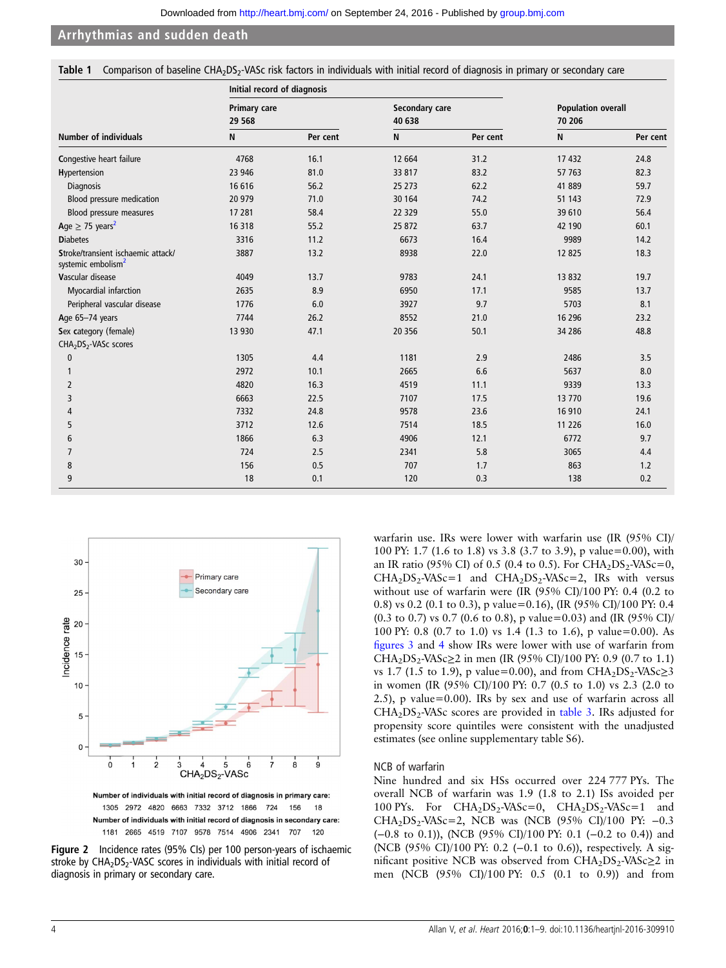<span id="page-3-0"></span>

|  | Table 1 Comparison of baseline CHA <sub>2</sub> DS <sub>2</sub> -VASc risk factors in individuals with initial record of diagnosis in primary or secondary care |  |  |  |  |  |  |  |  |  |  |  |  |  |  |
|--|-----------------------------------------------------------------------------------------------------------------------------------------------------------------|--|--|--|--|--|--|--|--|--|--|--|--|--|--|
|--|-----------------------------------------------------------------------------------------------------------------------------------------------------------------|--|--|--|--|--|--|--|--|--|--|--|--|--|--|

|                                                                      | Initial record of diagnosis    |          |                          |          |                                     |          |  |
|----------------------------------------------------------------------|--------------------------------|----------|--------------------------|----------|-------------------------------------|----------|--|
|                                                                      | <b>Primary care</b><br>29 5 68 |          | Secondary care<br>40 638 |          | <b>Population overall</b><br>70 206 |          |  |
| <b>Number of individuals</b>                                         | N                              | Per cent | N                        | Per cent | N                                   | Per cent |  |
| Congestive heart failure                                             | 4768                           | 16.1     | 12 664                   | 31.2     | 17 432                              | 24.8     |  |
| Hypertension                                                         | 23 946                         | 81.0     | 33 817                   | 83.2     | 57 763                              | 82.3     |  |
| Diagnosis                                                            | 16 616                         | 56.2     | 25 273                   | 62.2     | 41 889                              | 59.7     |  |
| Blood pressure medication                                            | 20 979                         | 71.0     | 30 164                   | 74.2     | 51 1 43                             | 72.9     |  |
| Blood pressure measures                                              | 17 281                         | 58.4     | 22 3 29                  | 55.0     | 39 610                              | 56.4     |  |
| Age $\geq$ 75 years <sup>2</sup>                                     | 16 318                         | 55.2     | 25 872                   | 63.7     | 42 190                              | 60.1     |  |
| <b>Diabetes</b>                                                      | 3316                           | 11.2     | 6673                     | 16.4     | 9989                                | 14.2     |  |
| Stroke/transient ischaemic attack/<br>systemic embolism <sup>2</sup> | 3887                           | 13.2     | 8938                     | 22.0     | 12 8 25                             | 18.3     |  |
| Vascular disease                                                     | 4049                           | 13.7     | 9783                     | 24.1     | 13 8 32                             | 19.7     |  |
| Myocardial infarction                                                | 2635                           | 8.9      | 6950                     | 17.1     | 9585                                | 13.7     |  |
| Peripheral vascular disease                                          | 1776                           | 6.0      | 3927                     | 9.7      | 5703                                | 8.1      |  |
| Age 65-74 years                                                      | 7744                           | 26.2     | 8552                     | 21.0     | 16 29 6                             | 23.2     |  |
| Sex category (female)                                                | 13 930                         | 47.1     | 20 35 6                  | 50.1     | 34 28 6                             | 48.8     |  |
| CHA <sub>2</sub> DS <sub>2</sub> -VASc scores                        |                                |          |                          |          |                                     |          |  |
| $\mathbf{0}$                                                         | 1305                           | 4.4      | 1181                     | 2.9      | 2486                                | 3.5      |  |
|                                                                      | 2972                           | 10.1     | 2665                     | 6.6      | 5637                                | 8.0      |  |
| 2                                                                    | 4820                           | 16.3     | 4519                     | 11.1     | 9339                                | 13.3     |  |
| 3                                                                    | 6663                           | 22.5     | 7107                     | 17.5     | 13 7 70                             | 19.6     |  |
| 4                                                                    | 7332                           | 24.8     | 9578                     | 23.6     | 16 910                              | 24.1     |  |
| 5                                                                    | 3712                           | 12.6     | 7514                     | 18.5     | 11 2 26                             | 16.0     |  |
| 6                                                                    | 1866                           | 6.3      | 4906                     | 12.1     | 6772                                | 9.7      |  |
| $\overline{7}$                                                       | 724                            | 2.5      | 2341                     | 5.8      | 3065                                | 4.4      |  |
| 8                                                                    | 156                            | 0.5      | 707                      | 1.7      | 863                                 | 1.2      |  |
| 9                                                                    | 18                             | 0.1      | 120                      | 0.3      | 138                                 | 0.2      |  |



1305 2972 4820 6663 7332 3712 1866 724 156 18 Number of individuals with initial record of diagnosis in secondary care: 1181 2665 4519 7107 9578 7514 4906 2341 707 120

Figure 2 Incidence rates (95% CIs) per 100 person-years of ischaemic stroke by  $CHA<sub>2</sub>DS<sub>2</sub>$ -VASC scores in individuals with initial record of diagnosis in primary or secondary care.

warfarin use. IRs were lower with warfarin use (IR (95% CI)/ 100 PY: 1.7 (1.6 to 1.8) vs 3.8 (3.7 to 3.9), p value=0.00), with an IR ratio (95% CI) of 0.5 (0.4 to 0.5). For CHA<sub>2</sub>DS<sub>2</sub>-VASc=0,  $CHA<sub>2</sub>DS<sub>2</sub> - VASC = 1$  and  $CHA<sub>2</sub>DS<sub>2</sub> - VASC = 2$ , IRs with versus without use of warfarin were (IR (95% CI)/100 PY: 0.4 (0.2 to 0.8) vs 0.2 (0.1 to 0.3), p value=0.16), (IR (95% CI)/100 PY: 0.4 (0.3 to 0.7) vs 0.7 (0.6 to 0.8), p value=0.03) and (IR (95% CI)/ 100 PY: 0.8 (0.7 to 1.0) vs 1.4 (1.3 to 1.6), p value=0.00). As fi[gures 3](#page-4-0) and [4](#page-4-0) show IRs were lower with use of warfarin from CHA<sub>2</sub>DS<sub>2</sub>-VASc≥2 in men (IR (95% CI)/100 PY: 0.9 (0.7 to 1.1) vs 1.7 (1.5 to 1.9), p value=0.00), and from  $CHA<sub>2</sub>DS<sub>2</sub>-VASc<sub>2</sub>3$ in women (IR (95% CI)/100 PY: 0.7 (0.5 to 1.0) vs 2.3 (2.0 to 2.5), p value=0.00). IRs by sex and use of warfarin across all  $CHA<sub>2</sub>DS<sub>2</sub> - VASc$  scores are provided in [table 3.](#page-5-0) IRs adjusted for propensity score quintiles were consistent with the unadjusted estimates (see online [supplementary table](http://dx.doi.org/10.1136/heartjnl-2016-309910) S6).

#### NCB of warfarin

Nine hundred and six HSs occurred over 224 777 PYs. The overall NCB of warfarin was 1.9 (1.8 to 2.1) ISs avoided per 100 PYs. For  $CHA_2DS_2-VASc=0$ ,  $CHA_2DS_2-VASc=1$  and CHA<sub>2</sub>DS<sub>2</sub>-VASc=2, NCB was (NCB (95% CI)/100 PY:  $-0.3$ (−0.8 to 0.1)), (NCB (95% CI)/100 PY: 0.1 (−0.2 to 0.4)) and (NCB (95% CI)/100 PY: 0.2 (−0.1 to 0.6)), respectively. A significant positive NCB was observed from  $CHA<sub>2</sub>DS<sub>2</sub>$ -VASc $\geq$ 2 in men (NCB (95% CI)/100 PY: 0.5 (0.1 to 0.9)) and from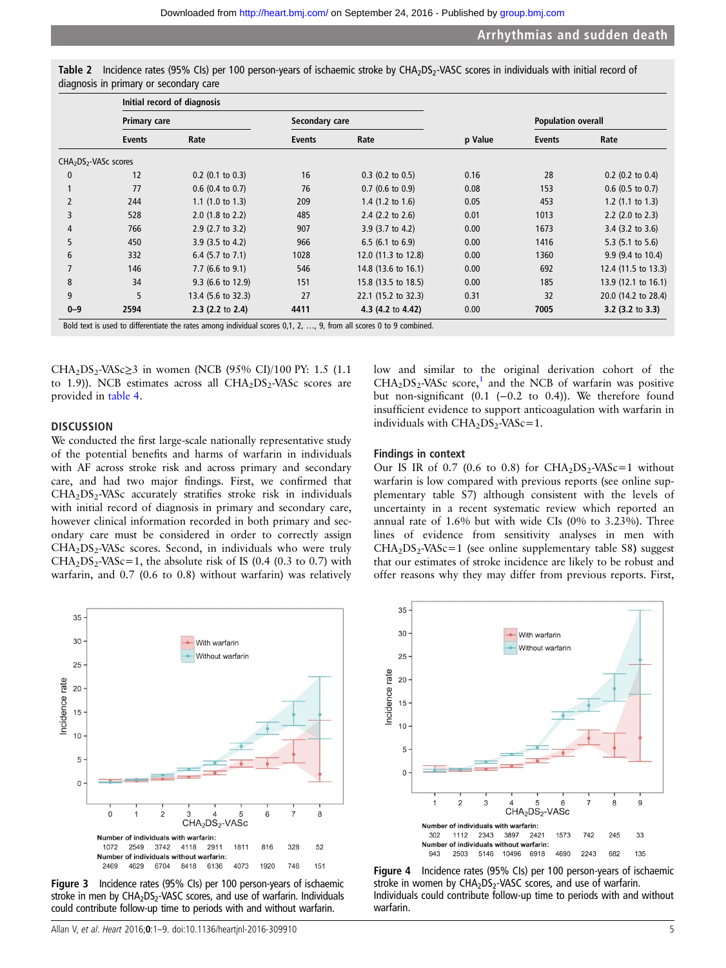<span id="page-4-0"></span>

| Table 2 Incidence rates (95% CIs) per 100 person-years of ischaemic stroke by CHA <sub>2</sub> DS <sub>2</sub> -VASC scores in individuals with initial record of |  |  |  |
|-------------------------------------------------------------------------------------------------------------------------------------------------------------------|--|--|--|
| diagnosis in primary or secondary care                                                                                                                            |  |  |  |

|                         |                     | Initial record of diagnosis |                       |                             |         |                           |                             |
|-------------------------|---------------------|-----------------------------|-----------------------|-----------------------------|---------|---------------------------|-----------------------------|
|                         | <b>Primary care</b> |                             | Secondary care        |                             |         | <b>Population overall</b> |                             |
|                         | <b>Events</b>       | Rate                        | Rate<br><b>Events</b> |                             | p Value | <b>Events</b>             | Rate                        |
| $CHA2DS2 - VASC scores$ |                     |                             |                       |                             |         |                           |                             |
| $\mathbf{0}$            | 12                  | $0.2$ (0.1 to 0.3)          | 16                    | $0.3$ (0.2 to 0.5)          | 0.16    | 28                        | $0.2$ (0.2 to 0.4)          |
|                         | 77                  | $0.6$ (0.4 to 0.7)          | 76                    | $0.7$ (0.6 to 0.9)          | 0.08    | 153                       | $0.6$ (0.5 to 0.7)          |
| $\overline{2}$          | 244                 | $1.1$ (1.0 to 1.3)          | 209                   | 1.4 $(1.2 \text{ to } 1.6)$ | 0.05    | 453                       | 1.2 $(1.1 \text{ to } 1.3)$ |
| 3                       | 528                 | $2.0$ (1.8 to 2.2)          | 485                   | 2.4 $(2.2 \text{ to } 2.6)$ | 0.01    | 1013                      | $2.2$ (2.0 to 2.3)          |
| 4                       | 766                 | $2.9$ (2.7 to 3.2)          | 907                   | $3.9$ (3.7 to 4.2)          | 0.00    | 1673                      | $3.4$ (3.2 to 3.6)          |
| 5                       | 450                 | $3.9$ (3.5 to 4.2)          | 966                   | $6.5$ (6.1 to 6.9)          | 0.00    | 1416                      | 5.3 $(5.1 \text{ to } 5.6)$ |
| 6                       | 332                 | 6.4 $(5.7 \text{ to } 7.1)$ | 1028                  | 12.0 (11.3 to 12.8)         | 0.00    | 1360                      | 9.9 (9.4 to 10.4)           |
|                         | 146                 | $7.7$ (6.6 to 9.1)          | 546                   | 14.8 (13.6 to 16.1)         | 0.00    | 692                       | 12.4 (11.5 to 13.3)         |
| 8                       | 34                  | $9.3$ (6.6 to 12.9)         | 151                   | 15.8 (13.5 to 18.5)         | 0.00    | 185                       | 13.9 (12.1 to 16.1)         |
| 9                       | 5                   | 13.4 (5.6 to 32.3)          | 27                    | 22.1 (15.2 to 32.3)         | 0.31    | 32                        | 20.0 (14.2 to 28.4)         |
| $0 - 9$                 | 2594                | $2.3$ (2.2 to 2.4)          | 4411                  | 4.3 (4.2 to 4.42)           | 0.00    | 7005                      | $3.2$ (3.2 to 3.3)          |

CHA<sub>2</sub>DS<sub>2</sub>-VASc≥3 in women (NCB (95% CI)/100 PY: 1.5 (1.1) to 1.9)). NCB estimates across all  $CHA<sub>2</sub>DS<sub>2</sub>$ -VASc scores are provided in [table 4.](#page-6-0)

#### **DISCUSSION**

We conducted the first large-scale nationally representative study of the potential benefits and harms of warfarin in individuals with AF across stroke risk and across primary and secondary care, and had two major findings. First, we confirmed that  $CHA<sub>2</sub>DS<sub>2</sub> - VASc$  accurately stratifies stroke risk in individuals with initial record of diagnosis in primary and secondary care, however clinical information recorded in both primary and secondary care must be considered in order to correctly assign  $CHA<sub>2</sub>DS<sub>2</sub> - VASc scores. Second, in individuals who were truly$  $CHA<sub>2</sub>DS<sub>2</sub> - VASC = 1$ , the absolute risk of IS (0.4 (0.3 to 0.7) with warfarin, and 0.7 (0.6 to 0.8) without warfarin) was relatively



Figure 3 Incidence rates (95% CIs) per 100 person-years of ischaemic stroke in men by  $CHA<sub>2</sub>DS<sub>2</sub>$ -VASC scores, and use of warfarin. Individuals could contribute follow-up time to periods with and without warfarin.

low and similar to the original derivation cohort of the  $CHA<sub>2</sub>DS<sub>2</sub> - VASc score<sup>1</sup>$  $CHA<sub>2</sub>DS<sub>2</sub> - VASc score<sup>1</sup>$  $CHA<sub>2</sub>DS<sub>2</sub> - VASc score<sup>1</sup>$  and the NCB of warfarin was positive but non-significant (0.1 (−0.2 to 0.4)). We therefore found insufficient evidence to support anticoagulation with warfarin in individuals with  $CHA<sub>2</sub>DS<sub>2</sub> - VASc = 1$ .

#### Findings in context

Our IS IR of 0.7 (0.6 to 0.8) for  $CHA<sub>2</sub>DS<sub>2</sub> - VASc = 1$  without warfarin is low compared with previous reports (see online supplementary table S7) although consistent with the levels of uncertainty in a recent systematic review which reported an annual rate of 1.6% but with wide CIs (0% to 3.23%). Three lines of evidence from sensitivity analyses in men with  $CHA<sub>2</sub>DS<sub>2</sub> - VASc = 1$  (see online [supplementary table](http://dx.doi.org/10.1136/heartjnl-2016-309910) S8) suggest that our estimates of stroke incidence are likely to be robust and offer reasons why they may differ from previous reports. First,



Figure 4 Incidence rates (95% CIs) per 100 person-years of ischaemic stroke in women by  $CHA<sub>2</sub>DS<sub>2</sub>$ -VASC scores, and use of warfarin. Individuals could contribute follow-up time to periods with and without warfarin.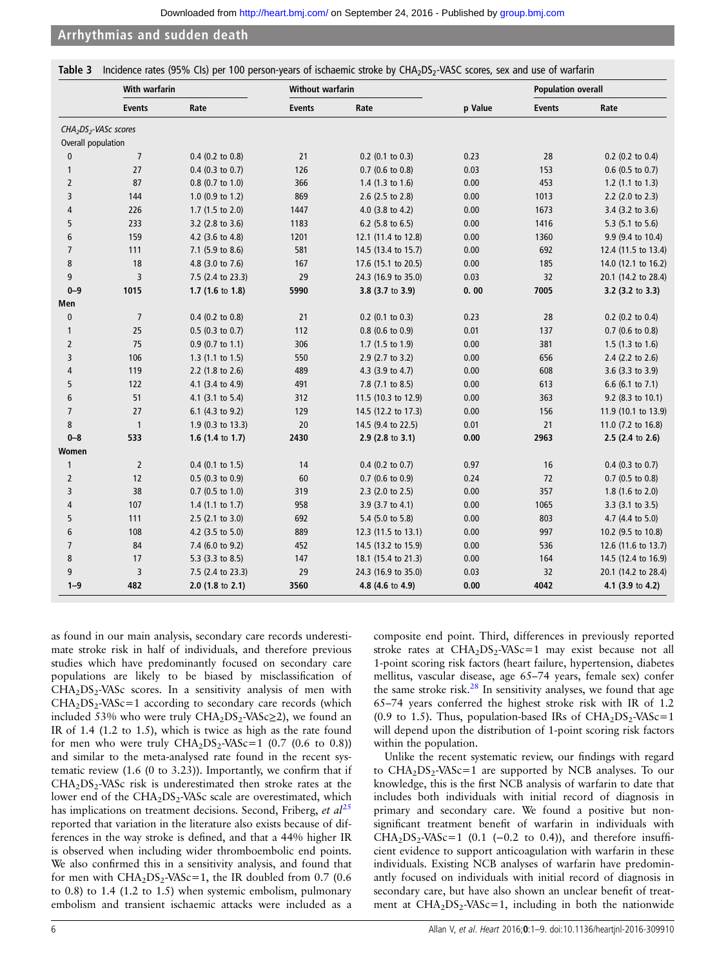<span id="page-5-0"></span>Table 3 Incidence rates (95% CIs) per 100 person-years of ischaemic stroke by CHA<sub>2</sub>DS<sub>2</sub>-VASC scores, sex and use of warfarin

|                                               | With warfarin  |                    | <b>Without warfarin</b> |                             |         | <b>Population overall</b> |                     |
|-----------------------------------------------|----------------|--------------------|-------------------------|-----------------------------|---------|---------------------------|---------------------|
|                                               | <b>Events</b>  | Rate               | <b>Events</b>           | Rate                        | p Value | <b>Events</b>             | Rate                |
| CHA <sub>2</sub> DS <sub>2</sub> -VASc scores |                |                    |                         |                             |         |                           |                     |
| Overall population                            |                |                    |                         |                             |         |                           |                     |
| $\mathbf{0}$                                  | $\overline{7}$ | $0.4$ (0.2 to 0.8) | 21                      | $0.2$ (0.1 to 0.3)          | 0.23    | 28                        | 0.2 (0.2 to 0.4)    |
| $\mathbf{1}$                                  | 27             | $0.4$ (0.3 to 0.7) | 126                     | $0.7$ (0.6 to 0.8)          | 0.03    | 153                       | $0.6$ (0.5 to 0.7)  |
| $\overline{2}$                                | 87             | 0.8 (0.7 to 1.0)   | 366                     | 1.4 $(1.3 \text{ to } 1.6)$ | 0.00    | 453                       | 1.2 $(1.1$ to 1.3)  |
| 3                                             | 144            | 1.0 (0.9 to 1.2)   | 869                     | 2.6 (2.5 to 2.8)            | 0.00    | 1013                      | 2.2 (2.0 to 2.3)    |
| 4                                             | 226            | 1.7 (1.5 to 2.0)   | 1447                    | 4.0 (3.8 to 4.2)            | 0.00    | 1673                      | 3.4 (3.2 to 3.6)    |
| 5                                             | 233            | 3.2 (2.8 to 3.6)   | 1183                    | 6.2 (5.8 to 6.5)            | 0.00    | 1416                      | 5.3 (5.1 to 5.6)    |
| 6                                             | 159            | 4.2 (3.6 to 4.8)   | 1201                    | 12.1 (11.4 to 12.8)         | 0.00    | 1360                      | 9.9 (9.4 to 10.4)   |
| $\overline{7}$                                | 111            | 7.1 (5.9 to 8.6)   | 581                     | 14.5 (13.4 to 15.7)         | 0.00    | 692                       | 12.4 (11.5 to 13.4) |
| 8                                             | 18             | 4.8 (3.0 to 7.6)   | 167                     | 17.6 (15.1 to 20.5)         | 0.00    | 185                       | 14.0 (12.1 to 16.2) |
| 9                                             | 3              | 7.5 (2.4 to 23.3)  | 29                      | 24.3 (16.9 to 35.0)         | 0.03    | 32                        | 20.1 (14.2 to 28.4) |
| $0 - 9$                                       | 1015           | 1.7 (1.6 to 1.8)   | 5990                    | 3.8 (3.7 to 3.9)            | 0.00    | 7005                      | 3.2 (3.2 to 3.3)    |
| Men                                           |                |                    |                         |                             |         |                           |                     |
| $\bf{0}$                                      | $\overline{7}$ | $0.4$ (0.2 to 0.8) | 21                      | $0.2$ (0.1 to 0.3)          | 0.23    | 28                        | 0.2 (0.2 to 0.4)    |
| 1                                             | 25             | $0.5$ (0.3 to 0.7) | 112                     | $0.8$ (0.6 to 0.9)          | 0.01    | 137                       | $0.7$ (0.6 to 0.8)  |
| $\overline{2}$                                | 75             | $0.9$ (0.7 to 1.1) | 306                     | 1.7 $(1.5 \text{ to } 1.9)$ | 0.00    | 381                       | 1.5 (1.3 to 1.6)    |
| 3                                             | 106            | $1.3$ (1.1 to 1.5) | 550                     | 2.9 (2.7 to 3.2)            | 0.00    | 656                       | 2.4 (2.2 to 2.6)    |
| 4                                             | 119            | 2.2 (1.8 to 2.6)   | 489                     | 4.3 (3.9 to 4.7)            | 0.00    | 608                       | 3.6 (3.3 to 3.9)    |
| 5                                             | 122            | 4.1 (3.4 to 4.9)   | 491                     | 7.8 (7.1 to 8.5)            | 0.00    | 613                       | 6.6 (6.1 to 7.1)    |
| 6                                             | 51             | 4.1 (3.1 to 5.4)   | 312                     | 11.5 (10.3 to 12.9)         | 0.00    | 363                       | 9.2 (8.3 to 10.1)   |
| $\overline{7}$                                | 27             | 6.1 (4.3 to 9.2)   | 129                     | 14.5 (12.2 to 17.3)         | 0.00    | 156                       | 11.9 (10.1 to 13.9) |
| 8                                             | $\overline{1}$ | 1.9 (0.3 to 13.3)  | 20                      | 14.5 (9.4 to 22.5)          | 0.01    | 21                        | 11.0 (7.2 to 16.8)  |
| $0 - 8$                                       | 533            | 1.6 (1.4 to 1.7)   | 2430                    | 2.9 (2.8 to 3.1)            | 0.00    | 2963                      | 2.5 (2.4 to 2.6)    |
| Women                                         |                |                    |                         |                             |         |                           |                     |
| $\mathbf{1}$                                  | $\mathbf 2$    | $0.4$ (0.1 to 1.5) | 14                      | $0.4$ (0.2 to 0.7)          | 0.97    | 16                        | $0.4$ (0.3 to 0.7)  |
| $\overline{2}$                                | $12\,$         | $0.5$ (0.3 to 0.9) | 60                      | $0.7$ (0.6 to 0.9)          | 0.24    | 72                        | $0.7$ (0.5 to 0.8)  |
| 3                                             | 38             | $0.7$ (0.5 to 1.0) | 319                     | 2.3 (2.0 to 2.5)            | 0.00    | 357                       | 1.8 (1.6 to 2.0)    |
| 4                                             | 107            | 1.4 $(1.1$ to 1.7) | 958                     | 3.9 (3.7 to 4.1)            | 0.00    | 1065                      | 3.3 (3.1 to 3.5)    |
| 5                                             | 111            | $2.5$ (2.1 to 3.0) | 692                     | 5.4 (5.0 to 5.8)            | 0.00    | 803                       | 4.7 (4.4 to 5.0)    |
| 6                                             | 108            | 4.2 (3.5 to 5.0)   | 889                     | 12.3 (11.5 to 13.1)         | 0.00    | 997                       | 10.2 (9.5 to 10.8)  |
| $\overline{7}$                                | 84             | 7.4 (6.0 to 9.2)   | 452                     | 14.5 (13.2 to 15.9)         | 0.00    | 536                       | 12.6 (11.6 to 13.7) |
| 8                                             | 17             | 5.3 (3.3 to 8.5)   | 147                     | 18.1 (15.4 to 21.3)         | 0.00    | 164                       | 14.5 (12.4 to 16.9) |
| 9                                             | 3              | 7.5 (2.4 to 23.3)  | 29                      | 24.3 (16.9 to 35.0)         | 0.03    | 32                        | 20.1 (14.2 to 28.4) |
| $1 - 9$                                       | 482            | $2.0$ (1.8 to 2.1) | 3560                    | 4.8 (4.6 to 4.9)            | 0.00    | 4042                      | 4.1 (3.9 to 4.2)    |

as found in our main analysis, secondary care records underestimate stroke risk in half of individuals, and therefore previous studies which have predominantly focused on secondary care populations are likely to be biased by misclassification of  $CHA<sub>2</sub>DS<sub>2</sub> - VASc$  scores. In a sensitivity analysis of men with  $CHA<sub>2</sub>DS<sub>2</sub> - VASC = 1$  according to secondary care records (which included 53% who were truly  $CHA<sub>2</sub>DS<sub>2</sub>-VASc<sub>2</sub>2$ , we found an IR of 1.4 (1.2 to 1.5), which is twice as high as the rate found for men who were truly  $CHA<sub>2</sub>DS<sub>2</sub> - VASc=1$  (0.7 (0.6 to 0.8)) and similar to the meta-analysed rate found in the recent systematic review (1.6 (0 to 3.23)). Importantly, we confirm that if  $CHA<sub>2</sub>DS<sub>2</sub>$ -VASc risk is underestimated then stroke rates at the lower end of the CHA<sub>2</sub>DS<sub>2</sub>-VASc scale are overestimated, which has implications on treatment decisions. Second, Friberg, et  $al^{25}$  $al^{25}$  $al^{25}$ reported that variation in the literature also exists because of differences in the way stroke is defined, and that a 44% higher IR is observed when including wider thromboembolic end points. We also confirmed this in a sensitivity analysis, and found that for men with  $CHA<sub>2</sub>DS<sub>2</sub>-VASc=1$ , the IR doubled from 0.7 (0.6) to 0.8) to 1.4 (1.2 to 1.5) when systemic embolism, pulmonary embolism and transient ischaemic attacks were included as a

composite end point. Third, differences in previously reported stroke rates at  $CHA<sub>2</sub>DS<sub>2</sub>-VASc=1$  may exist because not all 1-point scoring risk factors (heart failure, hypertension, diabetes mellitus, vascular disease, age 65–74 years, female sex) confer the same stroke risk. $^{28}$  $^{28}$  $^{28}$  In sensitivity analyses, we found that age 65–74 years conferred the highest stroke risk with IR of 1.2 (0.9 to 1.5). Thus, population-based IRs of  $CHA<sub>2</sub>DS<sub>2</sub>-VASc=1$ will depend upon the distribution of 1-point scoring risk factors within the population.

Unlike the recent systematic review, our findings with regard to  $CHA<sub>2</sub>DS<sub>2</sub> - VASC = 1$  are supported by NCB analyses. To our knowledge, this is the first NCB analysis of warfarin to date that includes both individuals with initial record of diagnosis in primary and secondary care. We found a positive but nonsignificant treatment benefit of warfarin in individuals with  $CHA<sub>2</sub>DS<sub>2</sub> - VASC = 1$  (0.1 (-0.2 to 0.4)), and therefore insufficient evidence to support anticoagulation with warfarin in these individuals. Existing NCB analyses of warfarin have predominantly focused on individuals with initial record of diagnosis in secondary care, but have also shown an unclear benefit of treatment at  $CHA<sub>2</sub>DS<sub>2</sub>-VASc=1$ , including in both the nationwide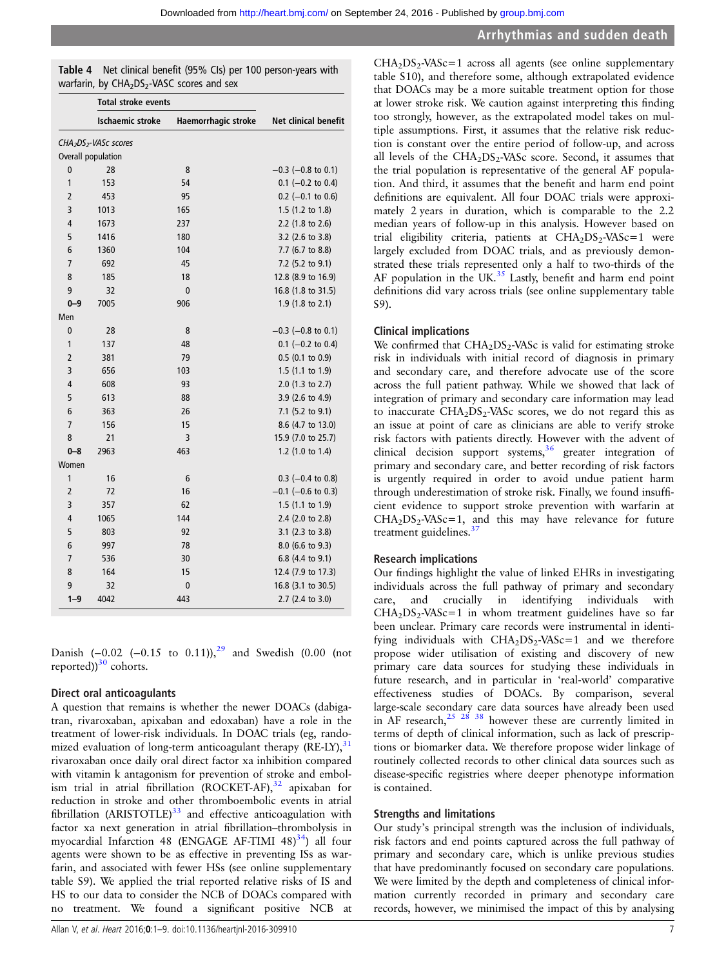<span id="page-6-0"></span>

| Table 4 Net clinical benefit (95% CIs) per 100 person-years with   |
|--------------------------------------------------------------------|
| warfarin, by CHA <sub>2</sub> DS <sub>2</sub> -VASC scores and sex |

|                |                                               | <b>Total stroke events</b> |                             |  |
|----------------|-----------------------------------------------|----------------------------|-----------------------------|--|
|                | <b>Ischaemic stroke</b>                       | Haemorrhagic stroke        | <b>Net clinical benefit</b> |  |
|                | CHA <sub>2</sub> DS <sub>2</sub> -VASc scores |                            |                             |  |
|                | Overall population                            |                            |                             |  |
| $\mathbf 0$    | 28                                            | 8                          | $-0.3$ ( $-0.8$ to 0.1)     |  |
| 1              | 153                                           | 54                         | $0.1$ (-0.2 to 0.4)         |  |
| $\overline{2}$ | 453                                           | 95                         | $0.2$ (-0.1 to 0.6)         |  |
| 3              | 1013                                          | 165                        | 1.5 (1.2 to 1.8)            |  |
| 4              | 1673                                          | 237                        | 2.2 (1.8 to 2.6)            |  |
| 5              | 1416                                          | 180                        | 3.2 (2.6 to 3.8)            |  |
| 6              | 1360                                          | 104                        | 7.7 (6.7 to 8.8)            |  |
| 7              | 692                                           | 45                         | 7.2 (5.2 to 9.1)            |  |
| 8              | 185                                           | 18                         | 12.8 (8.9 to 16.9)          |  |
| 9              | 32                                            | $\mathbf 0$                | 16.8 (1.8 to 31.5)          |  |
| $0 - 9$        | 7005                                          | 906                        | 1.9 (1.8 to 2.1)            |  |
| Men            |                                               |                            |                             |  |
| $\mathbf 0$    | 28                                            | 8                          | $-0.3$ ( $-0.8$ to 0.1)     |  |
| 1              | 137                                           | 48                         | $0.1$ (-0.2 to 0.4)         |  |
| $\overline{2}$ | 381                                           | 79                         | $0.5$ (0.1 to 0.9)          |  |
| 3              | 656                                           | 103                        | 1.5 (1.1 to 1.9)            |  |
| 4              | 608                                           | 93                         | 2.0 (1.3 to 2.7)            |  |
| 5              | 613                                           | 88                         | 3.9 (2.6 to 4.9)            |  |
| 6              | 363                                           | 26                         | 7.1 (5.2 to 9.1)            |  |
| $\overline{7}$ | 156                                           | 15                         | 8.6 (4.7 to 13.0)           |  |
| 8              | 21                                            | 3                          | 15.9 (7.0 to 25.7)          |  |
| $0 - 8$        | 2963                                          | 463                        | 1.2 (1.0 to 1.4)            |  |
| Women          |                                               |                            |                             |  |
| 1              | 16                                            | 6                          | $0.3$ (-0.4 to 0.8)         |  |
| $\overline{2}$ | 72                                            | 16                         | $-0.1$ (-0.6 to 0.3)        |  |
| 3              | 357                                           | 62                         | 1.5 (1.1 to 1.9)            |  |
| 4              | 1065                                          | 144                        | 2.4 (2.0 to 2.8)            |  |
| 5              | 803                                           | 92                         | 3.1 (2.3 to 3.8)            |  |
| 6              | 997                                           | 78                         | $8.0$ (6.6 to 9.3)          |  |
| 7              | 536                                           | 30                         | 6.8 (4.4 to 9.1)            |  |
| 8              | 164                                           | 15                         | 12.4 (7.9 to 17.3)          |  |
| 9              | 32                                            | $\mathbf 0$                | 16.8 (3.1 to 30.5)          |  |
| $1 - 9$        | 4042                                          | 443                        | 2.7 (2.4 to 3.0)            |  |

Danish  $(-0.02 \ (-0.15 \text{ to } 0.11))$ ,<sup>[29](#page-8-0)</sup> and Swedish (0.00 (not reported)) $30$  cohorts.

# Direct oral anticoagulants

A question that remains is whether the newer DOACs (dabigatran, rivaroxaban, apixaban and edoxaban) have a role in the treatment of lower-risk individuals. In DOAC trials (eg, randomized evaluation of long-term anticoagulant therapy  $(RE-LY)$ ,<sup>3</sup> rivaroxaban once daily oral direct factor xa inhibition compared with vitamin k antagonism for prevention of stroke and embol-ism trial in atrial fibrillation (ROCKET-AF),<sup>[32](#page-8-0)</sup> apixaban for reduction in stroke and other thromboembolic events in atrial fibrillation (ARISTOTLE) $33$  and effective anticoagulation with factor xa next generation in atrial fibrillation–thrombolysis in myocardial Infarction 48 (ENGAGE AF-TIMI 48) $34$ ) all four agents were shown to be as effective in preventing ISs as warfarin, and associated with fewer HSs (see online [supplementary](http://dx.doi.org/10.1136/heartjnl-2016-309910) [table](http://dx.doi.org/10.1136/heartjnl-2016-309910) S9). We applied the trial reported relative risks of IS and HS to our data to consider the NCB of DOACs compared with no treatment. We found a significant positive NCB at

 $CHA<sub>2</sub>DS<sub>2</sub> - VASC = 1$  across all agents (see online [supplementary](http://dx.doi.org/10.1136/heartjnl-2016-309910) [table](http://dx.doi.org/10.1136/heartjnl-2016-309910) S10), and therefore some, although extrapolated evidence that DOACs may be a more suitable treatment option for those at lower stroke risk. We caution against interpreting this finding too strongly, however, as the extrapolated model takes on multiple assumptions. First, it assumes that the relative risk reduction is constant over the entire period of follow-up, and across all levels of the  $CHA<sub>2</sub>DS<sub>2</sub>$ -VASc score. Second, it assumes that the trial population is representative of the general AF population. And third, it assumes that the benefit and harm end point definitions are equivalent. All four DOAC trials were approximately 2 years in duration, which is comparable to the 2.2 median years of follow-up in this analysis. However based on trial eligibility criteria, patients at  $CHA<sub>2</sub>DS<sub>2</sub> - VASC = 1$  were largely excluded from DOAC trials, and as previously demonstrated these trials represented only a half to two-thirds of the AF population in the UK. $35$  Lastly, benefit and harm end point definitions did vary across trials (see online supplementary table S9).

#### Clinical implications

We confirmed that  $CHA<sub>2</sub>DS<sub>2</sub>$ -VASc is valid for estimating stroke risk in individuals with initial record of diagnosis in primary and secondary care, and therefore advocate use of the score across the full patient pathway. While we showed that lack of integration of primary and secondary care information may lead to inaccurate  $CHA<sub>2</sub>DS<sub>2</sub>-VASc$  scores, we do not regard this as an issue at point of care as clinicians are able to verify stroke risk factors with patients directly. However with the advent of clinical decision support systems,  $36$  greater integration of primary and secondary care, and better recording of risk factors is urgently required in order to avoid undue patient harm through underestimation of stroke risk. Finally, we found insufficient evidence to support stroke prevention with warfarin at  $CHA<sub>2</sub>DS<sub>2</sub> - VASC = 1$ , and this may have relevance for future treatment guidelines. $37$ 

# Research implications

Our findings highlight the value of linked EHRs in investigating individuals across the full pathway of primary and secondary care, and crucially in identifying individuals with  $CHA<sub>2</sub>DS<sub>2</sub>-VASc=1$  in whom treatment guidelines have so far been unclear. Primary care records were instrumental in identifying individuals with  $CHA<sub>2</sub>DS<sub>2</sub>-VASc=1$  and we therefore propose wider utilisation of existing and discovery of new primary care data sources for studying these individuals in future research, and in particular in 'real-world' comparative effectiveness studies of DOACs. By comparison, several large-scale secondary care data sources have already been used in AF research,  $25 \frac{28}{38}$  however these are currently limited in terms of depth of clinical information, such as lack of prescriptions or biomarker data. We therefore propose wider linkage of routinely collected records to other clinical data sources such as disease-specific registries where deeper phenotype information is contained.

#### Strengths and limitations

Our study's principal strength was the inclusion of individuals, risk factors and end points captured across the full pathway of primary and secondary care, which is unlike previous studies that have predominantly focused on secondary care populations. We were limited by the depth and completeness of clinical information currently recorded in primary and secondary care records, however, we minimised the impact of this by analysing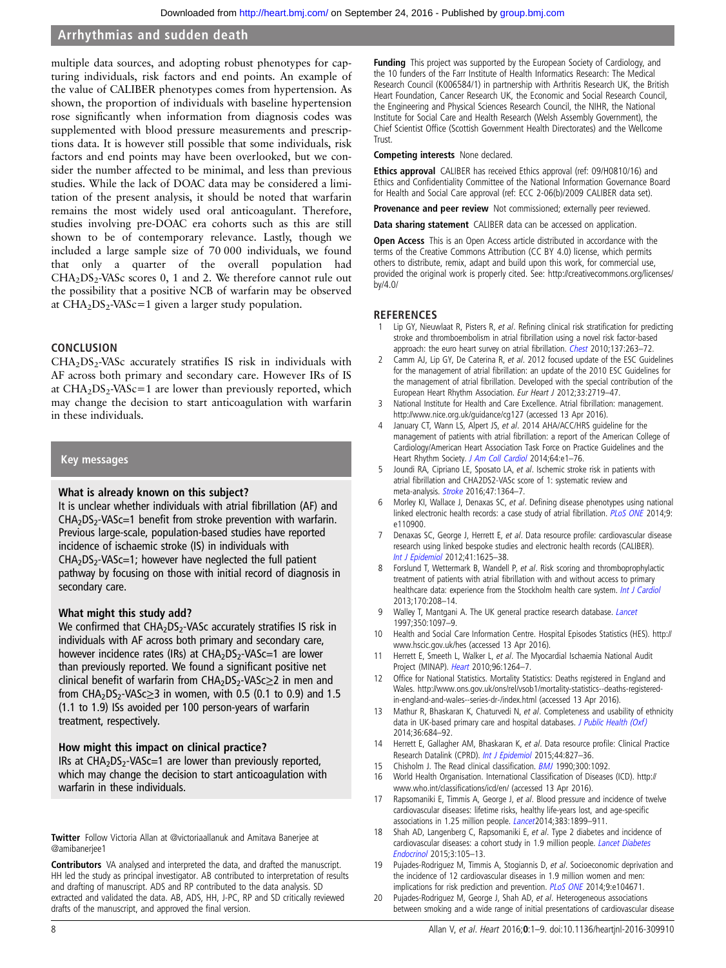<span id="page-7-0"></span>multiple data sources, and adopting robust phenotypes for capturing individuals, risk factors and end points. An example of the value of CALIBER phenotypes comes from hypertension. As shown, the proportion of individuals with baseline hypertension rose significantly when information from diagnosis codes was supplemented with blood pressure measurements and prescriptions data. It is however still possible that some individuals, risk factors and end points may have been overlooked, but we consider the number affected to be minimal, and less than previous studies. While the lack of DOAC data may be considered a limitation of the present analysis, it should be noted that warfarin remains the most widely used oral anticoagulant. Therefore, studies involving pre-DOAC era cohorts such as this are still shown to be of contemporary relevance. Lastly, though we included a large sample size of 70 000 individuals, we found that only a quarter of the overall population had  $CHA<sub>2</sub>DS<sub>2</sub> - VASc scores 0, 1 and 2. We therefore cannot rule out$ the possibility that a positive NCB of warfarin may be observed at  $CHA<sub>2</sub>DS<sub>2</sub> - VASc = 1$  given a larger study population.

#### **CONCLUSION**

 $CHA<sub>2</sub>DS<sub>2</sub> - VASc$  accurately stratifies IS risk in individuals with AF across both primary and secondary care. However IRs of IS at  $CHA<sub>2</sub>DS<sub>2</sub> - VASC = 1$  are lower than previously reported, which may change the decision to start anticoagulation with warfarin in these individuals.

#### Key messages

#### What is already known on this subject?

It is unclear whether individuals with atrial fibrillation (AF) and  $CHA<sub>2</sub>DS<sub>2</sub>-VASC=1$  benefit from stroke prevention with warfarin. Previous large-scale, population-based studies have reported incidence of ischaemic stroke (IS) in individuals with  $CHA<sub>2</sub>DS<sub>2</sub> - VASC = 1$ ; however have neglected the full patient pathway by focusing on those with initial record of diagnosis in secondary care.

#### What might this study add?

We confirmed that  $CHA<sub>2</sub>DS<sub>2</sub>$ -VASc accurately stratifies IS risk in individuals with AF across both primary and secondary care, however incidence rates (IRs) at  $CHA<sub>2</sub>DS<sub>2</sub>$ -VASc=1 are lower than previously reported. We found a significant positive net clinical benefit of warfarin from  $CHA<sub>2</sub>DS<sub>2</sub>-VASc<sub>≥</sub>2$  in men and from CHA<sub>2</sub>DS<sub>2</sub>-VASc $\geq$ 3 in women, with 0.5 (0.1 to 0.9) and 1.5 (1.1 to 1.9) ISs avoided per 100 person-years of warfarin treatment, respectively.

#### How might this impact on clinical practice?

IRs at  $CHA<sub>2</sub>DS<sub>2</sub> - VASC = 1$  are lower than previously reported, which may change the decision to start anticoagulation with warfarin in these individuals.

Twitter Follow Victoria Allan at [@victoriaallanuk](http://twitter.com/victoriaallanuk) and Amitava Banerjee at [@amibanerjee1](http://twitter.com/amibanerjee1)

Contributors VA analysed and interpreted the data, and drafted the manuscript. HH led the study as principal investigator. AB contributed to interpretation of results and drafting of manuscript. ADS and RP contributed to the data analysis. SD extracted and validated the data. AB, ADS, HH, J-PC, RP and SD critically reviewed drafts of the manuscript, and approved the final version.

Funding This project was supported by the European Society of Cardiology, and the 10 funders of the Farr Institute of Health Informatics Research: The Medical Research Council (K006584/1) in partnership with Arthritis Research UK, the British Heart Foundation, Cancer Research UK, the Economic and Social Research Council, the Engineering and Physical Sciences Research Council, the NIHR, the National Institute for Social Care and Health Research (Welsh Assembly Government), the Chief Scientist Office (Scottish Government Health Directorates) and the Wellcome Trust.

#### Competing interests None declared.

Ethics approval CALIBER has received Ethics approval (ref: 09/H0810/16) and Ethics and Confidentiality Committee of the National Information Governance Board for Health and Social Care approval (ref: ECC 2-06(b)/2009 CALIBER data set).

Provenance and peer review Not commissioned; externally peer reviewed.

Data sharing statement CALIBER data can be accessed on application.

Open Access This is an Open Access article distributed in accordance with the terms of the Creative Commons Attribution (CC BY 4.0) license, which permits others to distribute, remix, adapt and build upon this work, for commercial use, provided the original work is properly cited. See: [http://creativecommons.org/licenses/](http://creativecommons.org/licenses/by/4.0/) [by/4.0/](http://creativecommons.org/licenses/by/4.0/)

#### **REFERENCES**

- 1 Lip GY, Nieuwlaat R, Pisters R, et al. Refining clinical risk stratification for predicting stroke and thromboembolism in atrial fibrillation using a novel risk factor-based approach: the euro heart survey on atrial fibrillation. *[Chest](http://dx.doi.org/10.1378/chest.09-1584)* 2010;137:263-72.
- 2 Camm AJ, Lip GY, De Caterina R, et al. 2012 focused update of the ESC Guidelines for the management of atrial fibrillation: an update of the 2010 ESC Guidelines for the management of atrial fibrillation. Developed with the special contribution of the European Heart Rhythm Association. Eur Heart J 2012;33:2719–47.
- National Institute for Health and Care Excellence. Atrial fibrillation: management. <http://www.nice.org.uk/guidance/cg127> (accessed 13 Apr 2016).
- January CT, Wann LS, Alpert JS, et al. 2014 AHA/ACC/HRS guideline for the management of patients with atrial fibrillation: a report of the American College of Cardiology/American Heart Association Task Force on Practice Guidelines and the Heart Rhythm Society. [J Am Coll Cardiol](http://dx.doi.org/10.1016/j.jacc.2014.03.022) 2014;64:e1-76.
- 5 Joundi RA, Cipriano LE, Sposato LA, et al. Ischemic stroke risk in patients with atrial fibrillation and CHA2DS2-VASc score of 1: systematic review and meta-analysis. [Stroke](http://dx.doi.org/10.1161/STROKEAHA.115.012609) 2016;47:1364-7.
- 6 Morley KI, Wallace J, Denaxas SC, et al. Defining disease phenotypes using national linked electronic health records: a case study of atrial fibrillation. PLOS ONE 2014;9: e110900.
- Denaxas SC, George J, Herrett E, et al. Data resource profile: cardiovascular disease research using linked bespoke studies and electronic health records (CALIBER). [Int J Epidemiol](http://dx.doi.org/10.1093/ije/dys188) 2012;41:1625–38.
- 8 Forslund T, Wettermark B, Wandell P, et al. Risk scoring and thromboprophylactic treatment of patients with atrial fibrillation with and without access to primary healthcare data: experience from the Stockholm health care system. [Int J Cardiol](http://dx.doi.org/10.1016/j.ijcard.2013.10.063) 2013;170:208–14.
- 9 Walley T, Mantgani A. The UK general practice research database. [Lancet](http://dx.doi.org/10.1016/S0140-6736(97)04248-7) 1997;350:1097–9.
- 10 Health and Social Care Information Centre. Hospital Episodes Statistics (HES). [http://](http://www.hscic.gov.uk/hes) [www.hscic.gov.uk/hes](http://www.hscic.gov.uk/hes) (accessed 13 Apr 2016).
- 11 Herrett E, Smeeth L, Walker L, et al. The Myocardial Ischaemia National Audit Project (MINAP). [Heart](http://dx.doi.org/10.1136/hrt.2009.192328) 2010;96:1264–7.
- 12 Office for National Statistics. Mortality Statistics: Deaths registered in England and Wales. [http://www.ons.gov.uk/ons/rel/vsob1/mortality-statistics--deaths-registered](http://www.ons.gov.uk/ons/rel/vsob1/mortality-statistics--deaths-registered-in-england-and-wales--series-dr-/index.html)[in-england-and-wales--series-dr-/index.html](http://www.ons.gov.uk/ons/rel/vsob1/mortality-statistics--deaths-registered-in-england-and-wales--series-dr-/index.html) (accessed 13 Apr 2016).
- 13 Mathur R, Bhaskaran K, Chaturvedi N, et al. Completeness and usability of ethnicity data in UK-based primary care and hospital databases. [J Public Health \(Oxf\)](http://dx.doi.org/10.1093/pubmed/fdt116) 2014;36:684–92.
- 14 Herrett E, Gallagher AM, Bhaskaran K, et al. Data resource profile: Clinical Practice Research Datalink (CPRD). [Int J Epidemiol](http://dx.doi.org/10.1093/ije/dyv098) 2015;44:827-36.
- 15 Chisholm J. The Read clinical classification. **[BMJ](http://dx.doi.org/10.1136/bmj.300.6732.1092)** 1990;300:1092.
- 16 World Health Organisation. International Classification of Diseases (ICD). [http://](http://www.who.int/classifications/icd/en/) [www.who.int/classi](http://www.who.int/classifications/icd/en/)fications/icd/en/ (accessed 13 Apr 2016).
- 17 Rapsomaniki E, Timmis A, George J, et al. Blood pressure and incidence of twelve cardiovascular diseases: lifetime risks, healthy life-years lost, and age-specific associations in 1.25 million people. *[Lancet](http://dx.doi.org/10.1016/S0140-6736(14)60685-1)* 2014;383:1899-911.
- Shah AD, Langenberg C, Rapsomaniki E, et al. Type 2 diabetes and incidence of cardiovascular diseases: a cohort study in 1.9 million people. [Lancet Diabetes](http://dx.doi.org/10.1016/S2213-8587(14)70219-0) [Endocrinol](http://dx.doi.org/10.1016/S2213-8587(14)70219-0) 2015;3:105–13.
- 19 Pujades-Rodriguez M, Timmis A, Stogiannis D, et al. Socioeconomic deprivation and the incidence of 12 cardiovascular diseases in 1.9 million women and men: implications for risk prediction and prevention. [PLoS ONE](http://dx.doi.org/10.1371/journal.pone.0104671) 2014;9:e104671.
- 20 Pujades-Rodriguez M, George J, Shah AD, et al. Heterogeneous associations between smoking and a wide range of initial presentations of cardiovascular disease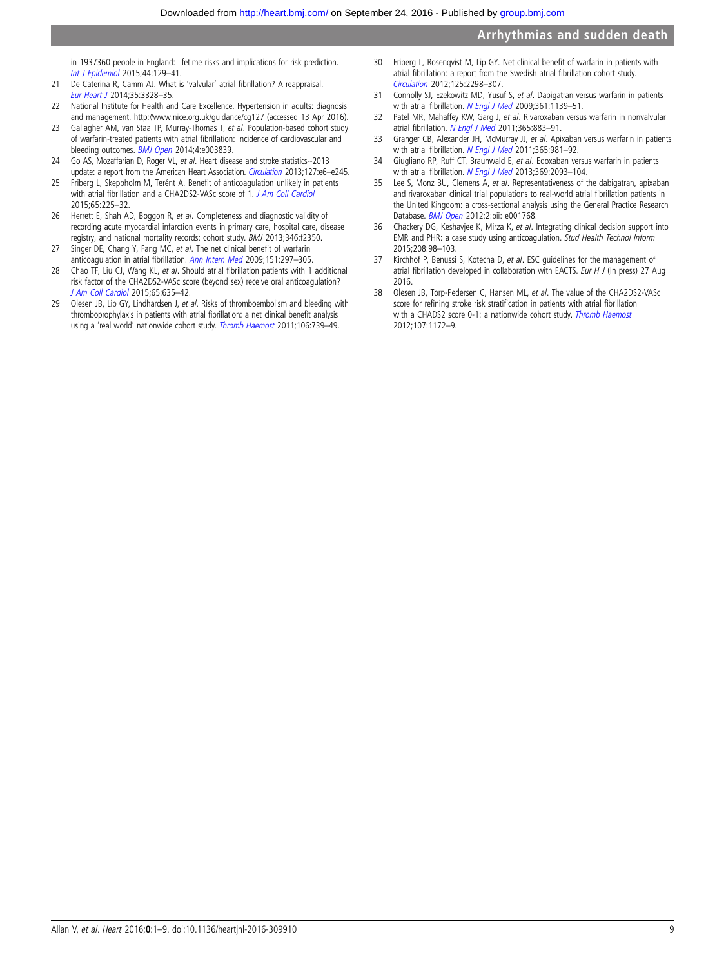<span id="page-8-0"></span>in 1937360 people in England: lifetime risks and implications for risk prediction. [Int J Epidemiol](http://dx.doi.org/10.1093/ije/dyu218) 2015;44:129–41.

- 21 De Caterina R, Camm AJ. What is 'valvular' atrial fibrillation? A reappraisal. [Eur Heart J](http://dx.doi.org/10.1093/eurheartj/ehu352) 2014;35:3328–35.
- 22 National Institute for Health and Care Excellence. Hypertension in adults: diagnosis and management.<http://www.nice.org.uk/guidance/cg127> (accessed 13 Apr 2016).
- 23 Gallagher AM, van Staa TP, Murray-Thomas T, et al. Population-based cohort study of warfarin-treated patients with atrial fibrillation: incidence of cardiovascular and bleeding outcomes. **[BMJ Open](http://dx.doi.org/10.1136/bmjopen-2013-003839) 2014**;4:e003839.
- 24 Go AS, Mozaffarian D, Roger VL, et al. Heart disease and stroke statistics--2013 update: a report from the American Heart Association. [Circulation](http://dx.doi.org/10.1161/CIR.0b013e31828124ad) 2013;127:e6-e245.
- 25 Friberg L, Skeppholm M, Terént A. Benefit of anticoagulation unlikely in patients with atrial fibrillation and a CHA2DS2-VASc score of 1. [J Am Coll Cardiol](http://dx.doi.org/10.1016/j.jacc.2014.10.052) 2015;65:225–32.
- 26 Herrett E, Shah AD, Boggon R, et al. Completeness and diagnostic validity of recording acute myocardial infarction events in primary care, hospital care, disease registry, and national mortality records: cohort study. BMJ 2013;346:f2350.
- 27 Singer DE, Chang Y, Fang MC, et al. The net clinical benefit of warfarin anticoagulation in atrial fibrillation. [Ann Intern Med](http://dx.doi.org/10.7326/0003-4819-151-5-200909010-00003) 2009;151:297–305.
- 28 Chao TF, Liu CJ, Wang KL, et al. Should atrial fibrillation patients with 1 additional risk factor of the CHA2DS2-VASc score (beyond sex) receive oral anticoagulation? [J Am Coll Cardiol](http://dx.doi.org/10.1016/j.jacc.2014.11.046) 2015;65:635–42.
- 29 Olesen JB, Lip GY, Lindhardsen J, et al. Risks of thromboembolism and bleeding with thromboprophylaxis in patients with atrial fibrillation: a net clinical benefit analysis using a 'real world' nationwide cohort study. [Thromb Haemost](http://dx.doi.org/10.1160/TH11-05-0364) 2011;106:739-49.
- 30 Friberg L, Rosenqvist M, Lip GY. Net clinical benefit of warfarin in patients with atrial fibrillation: a report from the Swedish atrial fibrillation cohort study. [Circulation](http://dx.doi.org/10.1161/CIRCULATIONAHA.111.055079) 2012;125:2298–307.
- 31 Connolly SJ, Ezekowitz MD, Yusuf S, et al. Dabigatran versus warfarin in patients with atrial fibrillation. [N Engl J Med](http://dx.doi.org/10.1056/NEJMoa0905561) 2009;361:1139-51.
- 32 Patel MR, Mahaffey KW, Garg J, et al. Rivaroxaban versus warfarin in nonvalvular atrial fibrillation. [N Engl J Med](http://dx.doi.org/10.1056/NEJMoa1009638) 2011;365:883-91.
- 33 Granger CB, Alexander JH, McMurray JJ, et al. Apixaban versus warfarin in patients with atrial fibrillation. [N Engl J Med](http://dx.doi.org/10.1056/NEJMoa1107039) 2011;365:981-92.
- 34 Giugliano RP, Ruff CT, Braunwald E, et al. Edoxaban versus warfarin in patients with atrial fibrillation. [N Engl J Med](http://dx.doi.org/10.1056/NEJMoa1310907) 2013;369:2093-104.
- 35 Lee S, Monz BU, Clemens A, et al. Representativeness of the dabigatran, apixaban and rivaroxaban clinical trial populations to real-world atrial fibrillation patients in the United Kingdom: a cross-sectional analysis using the General Practice Research Database. [BMJ Open](http://dx.doi.org/10.1136/bmjopen-2012-001768) 2012;2:pii: e001768.
- 36 Chackery DG, Keshavjee K, Mirza K, et al. Integrating clinical decision support into EMR and PHR: a case study using anticoagulation. Stud Health Technol Inform 2015;208:98–103.
- 37 Kirchhof P, Benussi S, Kotecha D, et al. ESC guidelines for the management of atrial fibrillation developed in collaboration with EACTS. Eur H J (In press) 27 Aug 2016.
- 38 Olesen JB, Torp-Pedersen C, Hansen ML, et al. The value of the CHA2DS2-VASc score for refining stroke risk stratification in patients with atrial fibrillation with a CHADS2 score 0-1: a nationwide cohort study. [Thromb Haemost](http://dx.doi.org/10.1160/TH12-03-0175) 2012;107:1172–9.